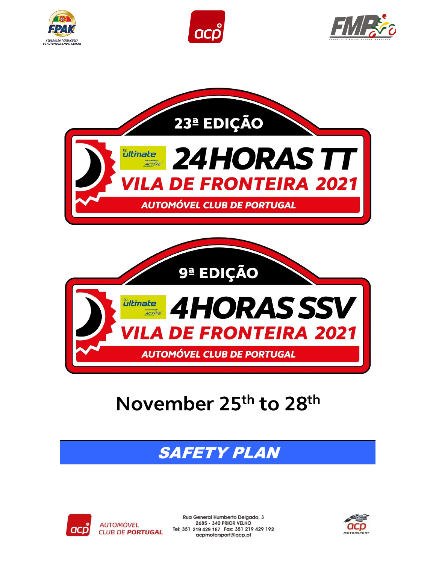







# November 25<sup>th</sup> to 28<sup>th</sup>

# SAFETY PLAN



Rua General Humberto Delgado, 3 2685 - 340 PRIOR VELHO Tel: 351 219 429 187 Fax: 351 219 429 192 acpmotorsport@acp.pt

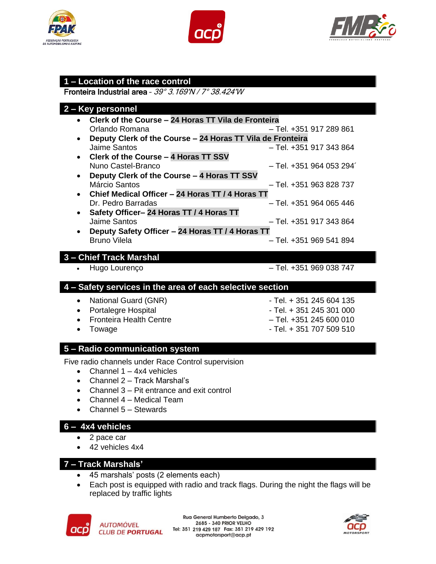





#### **1 – Location of the race control**

Fronteira Industrial area – 39° 3.169'N / 7° 38.424'W

#### **2 – Key personnel**

• **Clerk of the Course – 24 Horas TT Vila de Fronteira** Orlando Romana – Tel. +351 917 289 861 • **Deputy Clerk of the Course – 24 Horas TT Vila de Fronteira** Jaime Santos – Tel. +351 917 343 864 • **Clerk of the Course – 4 Horas TT SSV** Nuno Castel-Branco – Tel. +351 964 053 294´ • **Deputy Clerk of the Course – 4 Horas TT SSV** Márcio Santos – Tel. +351 963 828 737 • **Chief Medical Officer – 24 Horas TT / 4 Horas TT** Dr. Pedro Barradas – Tel. +351 964 065 446 • **Safety Officer– 24 Horas TT / 4 Horas TT** Jaime Santos – Tel. +351 917 343 864 • **Deputy Safety Officer – 24 Horas TT / 4 Horas TT** Bruno Vilela – Tel. +351 969 541 894

### **3 – Chief Track Marshal**

• Hugo Lourenço – Tel. +351 969 038 747

#### **4 – Safety services in the area of each selective section**

- National Guard (GNR)  $-$  Tel. + 351 245 604 135
- Portalegre Hospital  $\overline{ }$  Tel. + 351 245 301 000
- Fronteira Health Centre Tel. +351 245 600 010
- Towage  **Tel.** + 351 707 509 510
- **5 – Radio communication system**

Five radio channels under Race Control supervision

- Channel  $1 4x4$  vehicles
- Channel 2 Track Marshal's
- Channel 3 Pit entrance and exit control
- Channel 4 Medical Team
- Channel 5 Stewards

# **6 – 4x4 vehicles**

- 2 pace car
- 42 vehicles 4x4

# **7 – Track Marshals'**

- 45 marshals' posts (2 elements each)
- Each post is equipped with radio and track flags. During the night the flags will be replaced by traffic lights



Rua General Humberto Delgado, 3 2685 - 340 PRIOR VELHO Tel: 351 219 429 187 Fax: 351 219 429 192 acpmotorsport@acp.pt

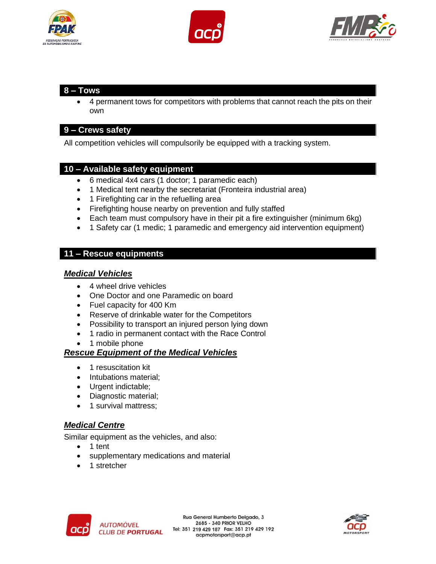





#### **8 – Tows**

• 4 permanent tows for competitors with problems that cannot reach the pits on their own

### **9 – Crews safety**

All competition vehicles will compulsorily be equipped with a tracking system.

# **10 – Available safety equipment**

- 6 medical 4x4 cars (1 doctor; 1 paramedic each)
- 1 Medical tent nearby the secretariat (Fronteira industrial area)
- 1 Firefighting car in the refuelling area
- Firefighting house nearby on prevention and fully staffed
- Each team must compulsory have in their pit a fire extinguisher (minimum 6kg)
- 1 Safety car (1 medic; 1 paramedic and emergency aid intervention equipment)

# **11 – Rescue equipments**

## *Medical Vehicles*

- 4 wheel drive vehicles
- One Doctor and one Paramedic on board
- Fuel capacity for 400 Km
- Reserve of drinkable water for the Competitors
- Possibility to transport an injured person lying down
- 1 radio in permanent contact with the Race Control
- 1 mobile phone

### *Rescue Equipment of the Medical Vehicles*

- 1 resuscitation kit
- Intubations material:
- Urgent indictable;
- Diagnostic material;
- 1 survival mattress:

# *Medical Centre*

Similar equipment as the vehicles, and also:

- 1 tent
- supplementary medications and material
- 1 stretcher